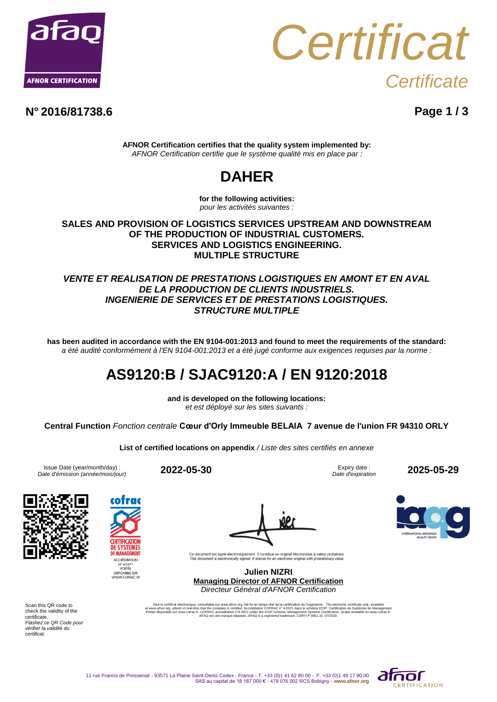



**N° 2016/81738.6 Page 1 / 3**

**AFNOR Certification certifies that the quality system implemented by:** *AFNOR Certification certifie que le système qualité mis en place par :*

# **DAHER**

**for the following activities:** *pour les activités suivantes :*

#### **SALES AND PROVISION OF LOGISTICS SERVICES UPSTREAM AND DOWNSTREAM OF THE PRODUCTION OF INDUSTRIAL CUSTOMERS. SERVICES AND LOGISTICS ENGINEERING. MULTIPLE STRUCTURE**

### *VENTE ET REALISATION DE PRESTATIONS LOGISTIQUES EN AMONT ET EN AVAL DE LA PRODUCTION DE CLIENTS INDUSTRIELS. INGENIERIE DE SERVICES ET DE PRESTATIONS LOGISTIQUES. STRUCTURE MULTIPLE*

**has been audited in accordance with the EN 9104-001:2013 and found to meet the requirements of the standard:** *a été audité conformément à l'EN 9104-001:2013 et a été jugé conforme aux exigences requises par la norme :*

### **AS9120:B / SJAC9120:A / EN 9120:2018**

**and is developed on the following locations:** *et est déployé sur les sites suivants :*

**Central Function** *Fonction centrale* **Cœur d'Orly Immeuble BELAIA 7 avenue de l'union FR 94310 ORLY**

**List of certified locations on appendix** */ Liste des sites certifiés en annexe*

Issue Date (year/month/day) : *Date d'émission (année/mois/jour)* **2022-05-30** Expiry date :

*Date d'expiration* **2025-05-29**



**CERTIFICATION DE MANAGEMENT** ACCRÉDITATION N° 40571<br>PORTÉE<br>DISPONIBLE SUR<br>WWW.COFRAC.FR

Ce document est signé électroniquement. Il constitue un original électronique à valeur probatoire<br>This document is electronically signed. It stands for an electronic original with probationary value.

**Julien NIZRI Managing Director of AFNOR Certification** *Directeur Général d'AFNOR Certification*

Seul le certificat électronique, consultable sur www.afnor.com, talt foi en temps réel de la certification de l'organisme. The electronic certification of the secondary, available sur www.afnor.com, altests in real-trime t

Scan this QR code to check the validity of the certificate. *Flashez ce QR Code pour vérifier la validité du certificat.*

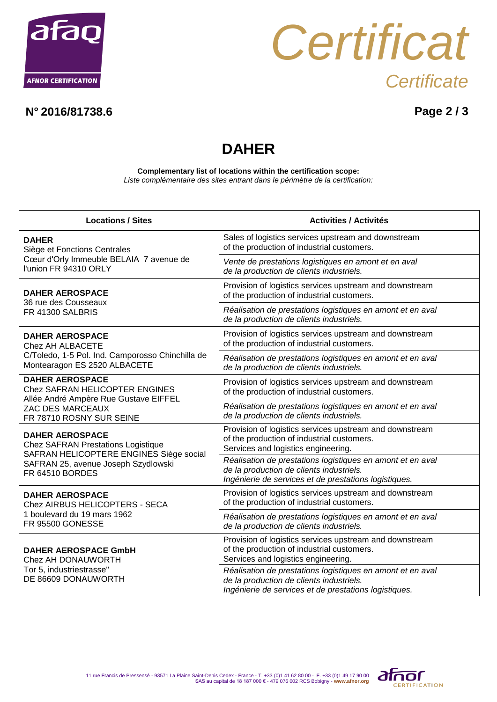



### **N° 2016/81738.6 Page 2 / 3**

# **DAHER**

**Complementary list of locations within the certification scope:** *Liste complémentaire des sites entrant dans le périmètre de la certification:*

| <b>Locations / Sites</b>                                                                                                                                                        | <b>Activities / Activités</b>                                                                                                                                   |
|---------------------------------------------------------------------------------------------------------------------------------------------------------------------------------|-----------------------------------------------------------------------------------------------------------------------------------------------------------------|
| <b>DAHER</b><br>Siège et Fonctions Centrales<br>Cœur d'Orly Immeuble BELAIA 7 avenue de<br>l'union FR 94310 ORLY                                                                | Sales of logistics services upstream and downstream<br>of the production of industrial customers.                                                               |
|                                                                                                                                                                                 | Vente de prestations logistiques en amont et en aval<br>de la production de clients industriels.                                                                |
| <b>DAHER AEROSPACE</b><br>36 rue des Cousseaux<br>FR 41300 SALBRIS                                                                                                              | Provision of logistics services upstream and downstream<br>of the production of industrial customers.                                                           |
|                                                                                                                                                                                 | Réalisation de prestations logistiques en amont et en aval<br>de la production de clients industriels.                                                          |
| <b>DAHER AEROSPACE</b><br>Chez AH ALBACETE<br>C/Toledo, 1-5 Pol. Ind. Camporosso Chinchilla de<br>Montearagon ES 2520 ALBACETE                                                  | Provision of logistics services upstream and downstream<br>of the production of industrial customers.                                                           |
|                                                                                                                                                                                 | Réalisation de prestations logistiques en amont et en aval<br>de la production de clients industriels.                                                          |
| <b>DAHER AEROSPACE</b><br>Chez SAFRAN HELICOPTER ENGINES<br>Allée André Ampère Rue Gustave EIFFEL<br>ZAC DES MARCEAUX<br>FR 78710 ROSNY SUR SEINE                               | Provision of logistics services upstream and downstream<br>of the production of industrial customers.                                                           |
|                                                                                                                                                                                 | Réalisation de prestations logistiques en amont et en aval<br>de la production de clients industriels.                                                          |
| <b>DAHER AEROSPACE</b><br><b>Chez SAFRAN Prestations Logistique</b><br>SAFRAN HELICOPTERE ENGINES Siège social<br>SAFRAN 25, avenue Joseph Szydlowski<br><b>FR 64510 BORDES</b> | Provision of logistics services upstream and downstream<br>of the production of industrial customers.<br>Services and logistics engineering.                    |
|                                                                                                                                                                                 | Réalisation de prestations logistiques en amont et en aval<br>de la production de clients industriels.<br>Ingénierie de services et de prestations logistiques. |
| <b>DAHER AEROSPACE</b><br>Chez AIRBUS HELICOPTERS - SECA<br>1 boulevard du 19 mars 1962<br>FR 95500 GONESSE                                                                     | Provision of logistics services upstream and downstream<br>of the production of industrial customers.                                                           |
|                                                                                                                                                                                 | Réalisation de prestations logistiques en amont et en aval<br>de la production de clients industriels.                                                          |
| <b>DAHER AEROSPACE GmbH</b><br>Chez AH DONAUWORTH<br>Tor 5, industriestrasse"<br>DE 86609 DONAUWORTH                                                                            | Provision of logistics services upstream and downstream<br>of the production of industrial customers.<br>Services and logistics engineering.                    |
|                                                                                                                                                                                 | Réalisation de prestations logistiques en amont et en aval<br>de la production de clients industriels.<br>Ingénierie de services et de prestations logistiques. |